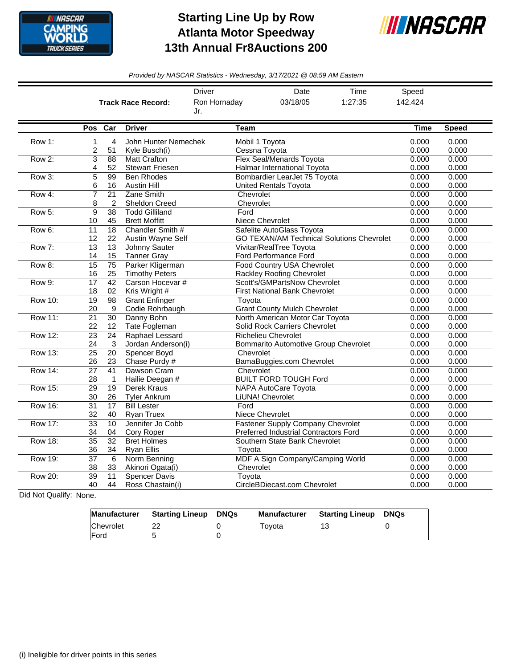

## **Starting Line Up by Row Atlanta Motor Speedway 13th Annual Fr8Auctions 200**



*Provided by NASCAR Statistics - Wednesday, 3/17/2021 @ 08:59 AM Eastern*

|                |                 |                       |                                           | Driver                       | Date                                                    | Time                                             | Speed          |                |
|----------------|-----------------|-----------------------|-------------------------------------------|------------------------------|---------------------------------------------------------|--------------------------------------------------|----------------|----------------|
|                |                 |                       | <b>Track Race Record:</b>                 | Ron Hornaday                 | 03/18/05                                                | 1:27:35                                          | 142.424        |                |
|                |                 |                       |                                           | Jr.                          |                                                         |                                                  |                |                |
|                |                 |                       |                                           |                              |                                                         |                                                  |                |                |
|                |                 | Pos Car               | <b>Driver</b>                             | <b>Team</b>                  |                                                         |                                                  | <b>Time</b>    | <b>Speed</b>   |
| Row 1:         | $\mathbf{1}$    | $\overline{4}$        | John Hunter Nemechek                      |                              | Mobil 1 Toyota                                          |                                                  | 0.000          | 0.000          |
|                | 2               | 51                    | Kyle Busch(i)                             |                              | Cessna Toyota                                           |                                                  | 0.000          | 0.000          |
| Row 2:         | $\overline{3}$  | $\overline{88}$       | <b>Matt Crafton</b>                       |                              | <b>Flex Seal/Menards Toyota</b>                         |                                                  | 0.000          | 0.000          |
|                | 4               | 52                    | <b>Stewart Friesen</b>                    |                              | Halmar International Toyota                             |                                                  | 0.000          | 0.000          |
| Row 3:         | 5               | 99                    | <b>Ben Rhodes</b>                         |                              | Bombardier LearJet 75 Toyota                            |                                                  | 0.000          | 0.000          |
|                | 6               | 16                    | Austin Hill                               | <b>United Rentals Toyota</b> | 0.000                                                   | 0.000                                            |                |                |
| Row 4:         | $\overline{7}$  | $\overline{21}$       | Zane Smith                                | Chevrolet                    |                                                         |                                                  | 0.000          | 0.000          |
|                | 8               | $\overline{2}$        | <b>Sheldon Creed</b>                      | Chevrolet                    |                                                         |                                                  | 0.000          | 0.000          |
| Row 5:         | 9               | $\overline{38}$       | <b>Todd Gilliland</b>                     | Ford                         |                                                         |                                                  | 0.000          | 0.000          |
|                | 10              | 45                    | <b>Brett Moffitt</b>                      |                              | Niece Chevrolet                                         |                                                  | 0.000          | 0.000          |
| Row 6:         | 11              | $\overline{18}$       | Chandler Smith #                          |                              | Safelite AutoGlass Toyota                               |                                                  | 0.000          | 0.000          |
|                | 12              | 22                    | Austin Wavne Self                         |                              |                                                         | <b>GO TEXAN/AM Technical Solutions Chevrolet</b> | 0.000          | 0.000          |
| Row 7:         | 13              | 13                    | Johnny Sauter                             |                              | Vivitar/RealTree Toyota                                 |                                                  | 0.000          | 0.000          |
| Row 8:         | 14              | 15                    | <b>Tanner Gray</b>                        |                              | <b>Ford Performance Ford</b>                            |                                                  | 0.000          | 0.000          |
|                | 15<br>16        | $\overline{75}$<br>25 | Parker Kligerman<br><b>Timothy Peters</b> |                              | Food Country USA Chevrolet<br>Rackley Roofing Chevrolet |                                                  | 0.000<br>0.000 | 0.000<br>0.000 |
| <b>Row 9:</b>  | $\overline{17}$ | $\overline{42}$       | Carson Hocevar #                          |                              | Scott's/GMPartsNow Chevrolet                            |                                                  | 0.000          | 0.000          |
|                | 18              | 02                    | Kris Wright #                             |                              | <b>First National Bank Chevrolet</b>                    |                                                  | 0.000          | 0.000          |
| <b>Row 10:</b> | $\overline{19}$ | $\overline{98}$       | <b>Grant Enfinger</b>                     | Toyota                       |                                                         |                                                  | 0.000          | 0.000          |
|                | 20              | 9                     | Codie Rohrbaugh                           |                              | <b>Grant County Mulch Chevrolet</b>                     |                                                  | 0.000          | 0.000          |
| <b>Row 11:</b> | 21              | 30                    | Danny Bohn                                |                              | North American Motor Car Toyota                         |                                                  | 0.000          | 0.000          |
|                | 22              | 12                    | Tate Fogleman                             |                              | Solid Rock Carriers Chevrolet                           |                                                  | 0.000          | 0.000          |
| Row 12:        | 23              | 24                    | Raphael Lessard                           |                              | <b>Richelieu Chevrolet</b>                              |                                                  | 0.000          | 0.000          |
|                | 24              | 3                     | Jordan Anderson(i)                        |                              | Bommarito Automotive Group Chevrolet                    |                                                  | 0.000          | 0.000          |
| <b>Row 13:</b> | 25              | 20                    | Spencer Boyd                              | Chevrolet                    |                                                         |                                                  | 0.000          | 0.000          |
|                | 26              | 23                    | Chase Purdy #                             |                              | BamaBuggies.com Chevrolet                               |                                                  | 0.000          | 0.000          |
| <b>Row 14:</b> | $\overline{27}$ | 41                    | Dawson Cram                               | Chevrolet                    |                                                         |                                                  | 0.000          | 0.000          |
|                | 28              | 1                     | Hailie Deegan #                           |                              | <b>BUILT FORD TOUGH Ford</b>                            |                                                  | 0.000          | 0.000          |
| <b>Row 15:</b> | 29              | 19                    | Derek Kraus                               |                              | <b>NAPA AutoCare Toyota</b>                             |                                                  | 0.000          | 0.000          |
|                | 30              | 26                    | <b>Tyler Ankrum</b>                       |                              | LiUNA! Chevrolet                                        |                                                  | 0.000          | 0.000          |
| <b>Row 16:</b> | 31              | 17                    | <b>Bill Lester</b>                        | Ford                         |                                                         |                                                  | 0.000          | 0.000          |
|                | 32              | 40                    | <b>Ryan Truex</b>                         |                              | Niece Chevrolet                                         |                                                  | 0.000          | 0.000          |
| <b>Row 17:</b> | $\overline{33}$ | 10                    | Jennifer Jo Cobb                          |                              | <b>Fastener Supply Company Chevrolet</b>                |                                                  | 0.000          | 0.000          |
|                | 34              | 04                    | Cory Roper                                |                              | Preferred Industrial Contractors Ford                   |                                                  | 0.000          | 0.000          |
| <b>Row 18:</b> | $\overline{35}$ | $\overline{32}$       | <b>Bret Holmes</b>                        |                              | Southern State Bank Chevrolet                           |                                                  | 0.000          | 0.000          |
|                | 36              | 34                    | <b>Ryan Ellis</b>                         | Toyota                       |                                                         |                                                  | 0.000          | 0.000          |
| Row 19:        | 37              | 6                     | Norm Benning                              |                              | MDF A Sign Company/Camping World                        |                                                  | 0.000          | 0.000          |
|                | 38              | 33                    | Akinori Ogata(i)                          | Chevrolet                    |                                                         |                                                  | 0.000          | 0.000          |
| <b>Row 20:</b> | 39<br>40        | 11<br>44              | <b>Spencer Davis</b><br>Ross Chastain(i)  | Toyota                       | CircleBDiecast.com Chevrolet                            |                                                  | 0.000<br>0.000 | 0.000<br>0.000 |
|                |                 |                       |                                           |                              |                                                         |                                                  |                |                |

Did Not Qualify: None.

|                  | Manufacturer Starting Lineup | DNQs | Manufacturer | <b>Starting Lineup DNQs</b> |  |
|------------------|------------------------------|------|--------------|-----------------------------|--|
| <b>Chevrolet</b> |                              |      | Tovota       |                             |  |
| <b>IFord</b>     |                              |      |              |                             |  |